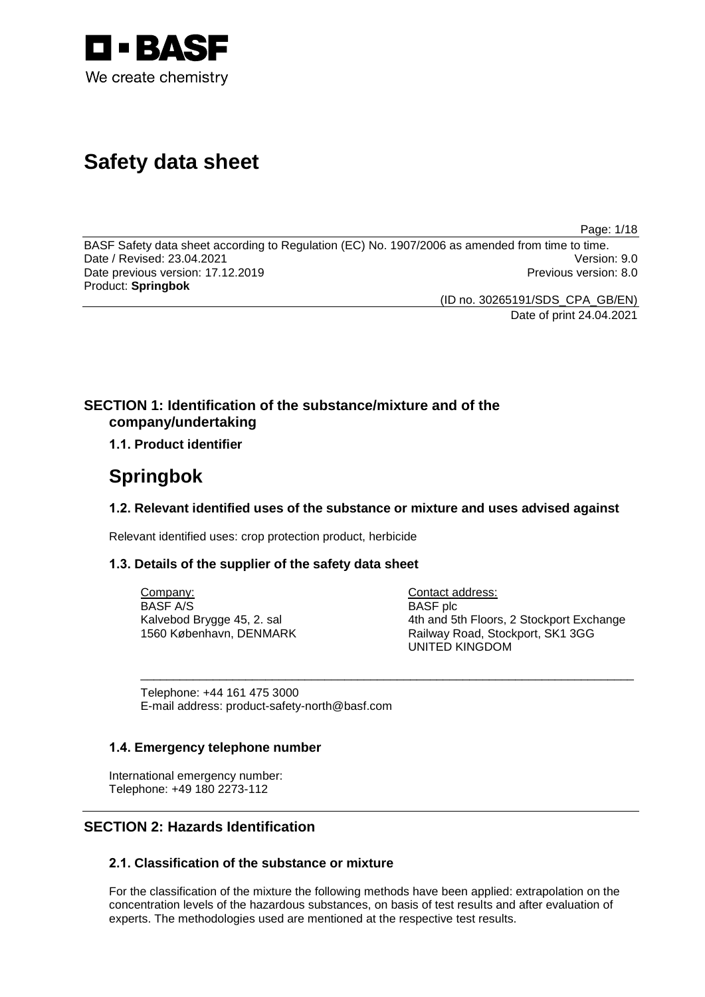

# **Safety data sheet**

Page: 1/18

BASF Safety data sheet according to Regulation (EC) No. 1907/2006 as amended from time to time.<br>Date / Revised: 23.04.2021 Date / Revised: 23.04.2021 Date previous version: 17.12.2019 **Previous version: 8.0** Previous version: 8.0 Product: **Springbok**

(ID no. 30265191/SDS\_CPA\_GB/EN)

Date of print 24.04.2021

# **SECTION 1: Identification of the substance/mixture and of the company/undertaking**

**1.1. Product identifier**

# **Springbok**

# **1.2. Relevant identified uses of the substance or mixture and uses advised against**

\_\_\_\_\_\_\_\_\_\_\_\_\_\_\_\_\_\_\_\_\_\_\_\_\_\_\_\_\_\_\_\_\_\_\_\_\_\_\_\_\_\_\_\_\_\_\_\_\_\_\_\_\_\_\_\_\_\_\_\_\_\_\_\_\_\_\_\_\_\_\_\_\_\_\_

Relevant identified uses: crop protection product, herbicide

# **1.3. Details of the supplier of the safety data sheet**

Company: BASF A/S Kalvebod Brygge 45, 2. sal 1560 København, DENMARK Contact address: BASF plc 4th and 5th Floors, 2 Stockport Exchange Railway Road, Stockport, SK1 3GG UNITED KINGDOM

Telephone: +44 161 475 3000 E-mail address: product-safety-north@basf.com

# **1.4. Emergency telephone number**

International emergency number: Telephone: +49 180 2273-112

# **SECTION 2: Hazards Identification**

# **2.1. Classification of the substance or mixture**

For the classification of the mixture the following methods have been applied: extrapolation on the concentration levels of the hazardous substances, on basis of test results and after evaluation of experts. The methodologies used are mentioned at the respective test results.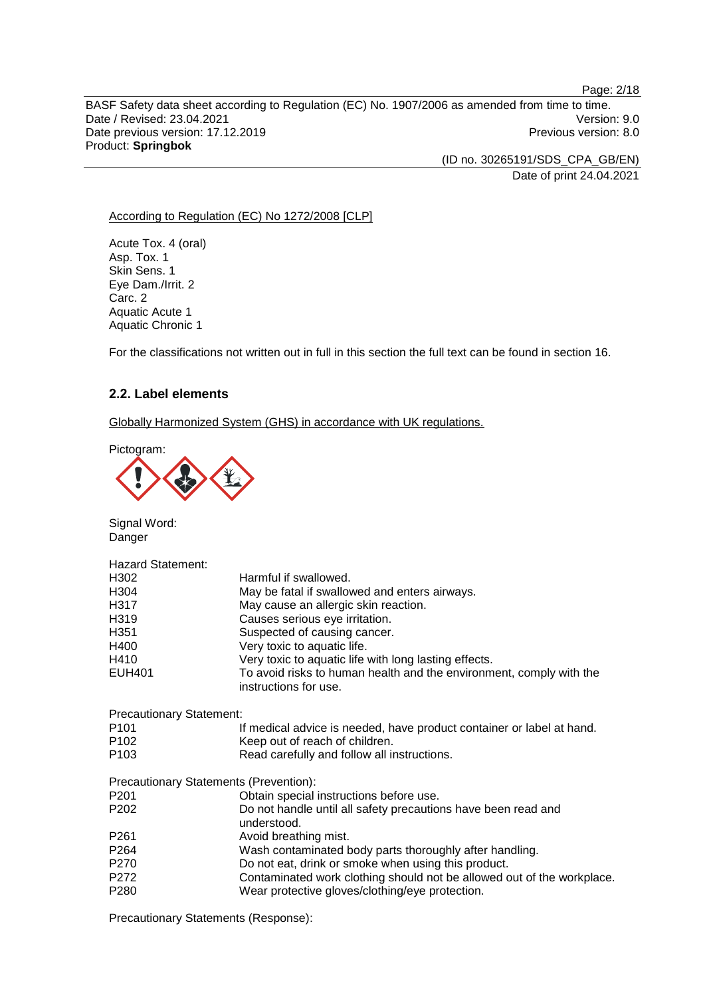Page: 2/18 BASF Safety data sheet according to Regulation (EC) No. 1907/2006 as amended from time to time. Date / Revised: 23.04.2021 Version: 9.0<br>Date previous version: 17.12.2019 Version: 8.0 Date previous version: 17.12.2019 Product: **Springbok**

> (ID no. 30265191/SDS\_CPA\_GB/EN) Date of print 24.04.2021

#### According to Regulation (EC) No 1272/2008 [CLP]

Acute Tox. 4 (oral) Asp. Tox. 1 Skin Sens. 1 Eye Dam./Irrit. 2 Carc. 2 Aquatic Acute 1 Aquatic Chronic 1

For the classifications not written out in full in this section the full text can be found in section 16.

### **2.2. Label elements**

Globally Harmonized System (GHS) in accordance with UK regulations.

Pictogram:



Signal Word: Danger

| <b>Hazard Statement:</b>        |                                                                                              |
|---------------------------------|----------------------------------------------------------------------------------------------|
| H302                            | Harmful if swallowed.                                                                        |
| H304                            | May be fatal if swallowed and enters airways.                                                |
| H317                            | May cause an allergic skin reaction.                                                         |
| H319                            | Causes serious eye irritation.                                                               |
| H351                            | Suspected of causing cancer.                                                                 |
| H400                            | Very toxic to aquatic life.                                                                  |
| H410                            | Very toxic to aquatic life with long lasting effects.                                        |
| <b>EUH401</b>                   | To avoid risks to human health and the environment, comply with the<br>instructions for use. |
| <b>Precautionary Statement:</b> |                                                                                              |
| P <sub>101</sub>                | If medical advice is needed, have product container or label at hand.                        |
| P <sub>102</sub>                | Keep out of reach of children.                                                               |
| P <sub>103</sub>                | Read carefully and follow all instructions.                                                  |
|                                 | Precautionary Statements (Prevention):                                                       |
| P <sub>201</sub>                | Obtain special instructions before use.                                                      |
| P <sub>202</sub>                | Do not handle until all safety precautions have been read and<br>understood.                 |
| P <sub>261</sub>                | Avoid breathing mist.                                                                        |
| P264                            | Wash contaminated body parts thoroughly after handling.                                      |
| P270                            | Do not eat, drink or smoke when using this product.                                          |
| P272                            | Contaminated work clothing should not be allowed out of the workplace.                       |
| P <sub>280</sub>                | Wear protective gloves/clothing/eye protection.                                              |

Precautionary Statements (Response):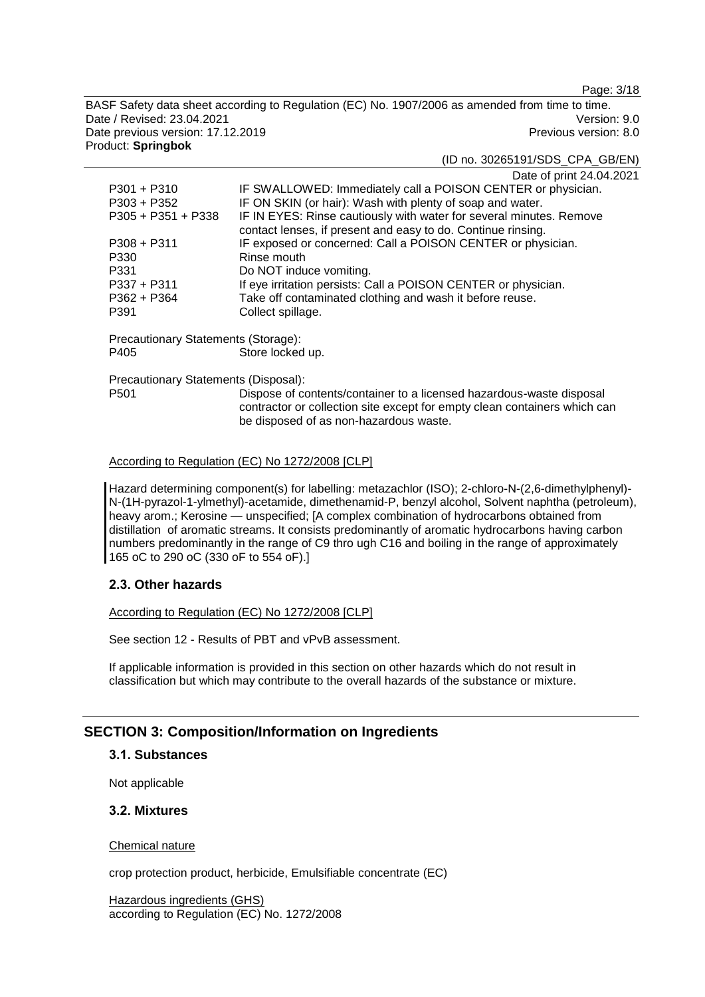Page: 3/18

BASF Safety data sheet according to Regulation (EC) No. 1907/2006 as amended from time to time. Date / Revised: 23.04.2021 Version: 9.0 Date previous version: 17.12.2019 **Previous version: 8.0** Previous version: 8.0 Product: **Springbok**

(ID no. 30265191/SDS\_CPA\_GB/EN)

|                                     | Date of print 24.04.2021                                            |
|-------------------------------------|---------------------------------------------------------------------|
| $P301 + P310$                       | IF SWALLOWED: Immediately call a POISON CENTER or physician.        |
| $P303 + P352$                       | IF ON SKIN (or hair): Wash with plenty of soap and water.           |
| $P305 + P351 + P338$                | IF IN EYES: Rinse cautiously with water for several minutes. Remove |
|                                     | contact lenses, if present and easy to do. Continue rinsing.        |
| $P308 + P311$                       | IF exposed or concerned: Call a POISON CENTER or physician.         |
| P330                                | Rinse mouth                                                         |
| P331                                | Do NOT induce vomiting.                                             |
| $P337 + P311$                       | If eye irritation persists: Call a POISON CENTER or physician.      |
| $P362 + P364$                       | Take off contaminated clothing and wash it before reuse.            |
| P391                                | Collect spillage.                                                   |
| Precautionary Statements (Storage): |                                                                     |
| <b>DAOF</b>                         | Otaxa Jaalcaal ina                                                  |

P405 Store locked up.

Precautionary Statements (Disposal):

P501 Dispose of contents/container to a licensed hazardous-waste disposal contractor or collection site except for empty clean containers which can be disposed of as non-hazardous waste.

#### According to Regulation (EC) No 1272/2008 [CLP]

Hazard determining component(s) for labelling: metazachlor (ISO); 2-chloro-N-(2,6-dimethylphenyl)- N-(1H-pyrazol-1-ylmethyl)-acetamide, dimethenamid-P, benzyl alcohol, Solvent naphtha (petroleum), heavy arom.; Kerosine — unspecified; [A complex combination of hydrocarbons obtained from distillation of aromatic streams. It consists predominantly of aromatic hydrocarbons having carbon numbers predominantly in the range of C9 thro ugh C16 and boiling in the range of approximately 165 oC to 290 oC (330 oF to 554 oF).]

### **2.3. Other hazards**

#### According to Regulation (EC) No 1272/2008 [CLP]

See section 12 - Results of PBT and vPvB assessment.

If applicable information is provided in this section on other hazards which do not result in classification but which may contribute to the overall hazards of the substance or mixture.

# **SECTION 3: Composition/Information on Ingredients**

### **3.1. Substances**

Not applicable

### **3.2. Mixtures**

#### Chemical nature

crop protection product, herbicide, Emulsifiable concentrate (EC)

Hazardous ingredients (GHS) according to Regulation (EC) No. 1272/2008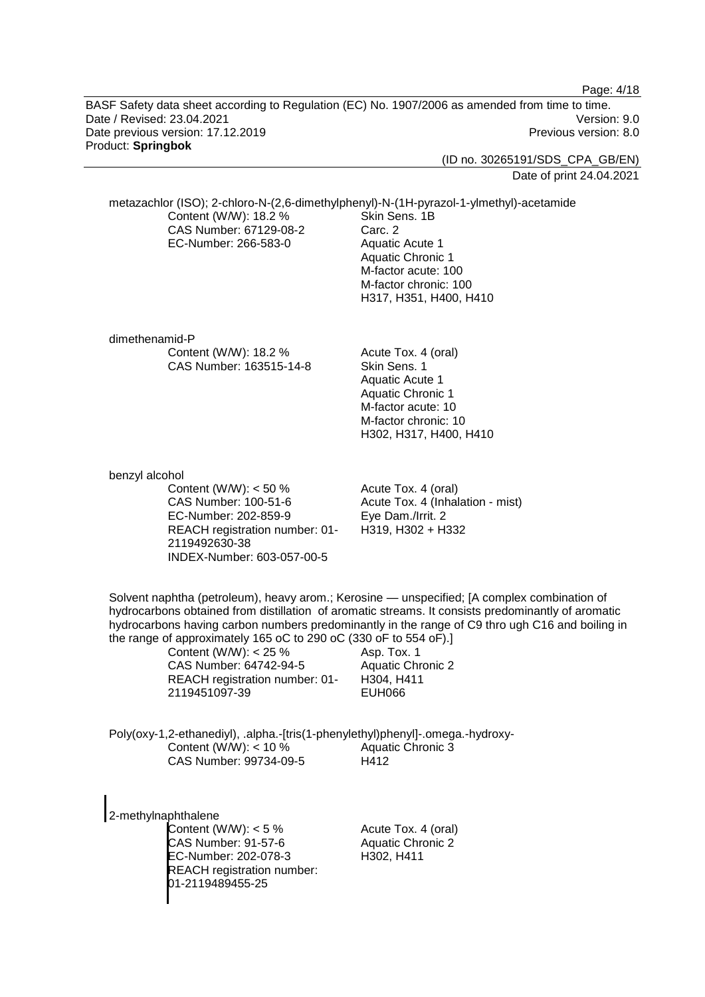Page: 4/18

BASF Safety data sheet according to Regulation (EC) No. 1907/2006 as amended from time to time. Date / Revised: 23.04.2021 Version: 9.0 Date previous version: 17.12.2019 **Previous version: 8.0** Previous version: 8.0 Product: **Springbok**

(ID no. 30265191/SDS\_CPA\_GB/EN)

Date of print 24.04.2021

metazachlor (ISO); 2-chloro-N-(2,6-dimethylphenyl)-N-(1H-pyrazol-1-ylmethyl)-acetamide Content (W/W): 18.2 % CAS Number: 67129-08-2 EC-Number: 266-583-0 Skin Sens. 1B Carc. 2 Aquatic Acute 1 Aquatic Chronic 1 M-factor acute: 100 M-factor chronic: 100 H317, H351, H400, H410 dimethenamid-P Content (W/W): 18.2 % CAS Number: 163515-14-8 Acute Tox. 4 (oral) Skin Sens. 1 Aquatic Acute 1 Aquatic Chronic 1 M-factor acute: 10 M-factor chronic: 10 H302, H317, H400, H410 benzyl alcohol Content (W/W): < 50 % CAS Number: 100-51-6 EC-Number: 202-859-9 REACH registration number: 01- 2119492630-38 INDEX-Number: 603-057-00-5 Acute Tox. 4 (oral) Acute Tox. 4 (Inhalation - mist) Eye Dam./Irrit. 2 H319, H302 + H332 Solvent naphtha (petroleum), heavy arom.; Kerosine — unspecified; [A complex combination of hydrocarbons obtained from distillation of aromatic streams. It consists predominantly of aromatic hydrocarbons having carbon numbers predominantly in the range of C9 thro ugh C16 and boiling in the range of approximately 165 oC to 290 oC (330 oF to 554 oF).] Content (W/W): < 25 % CAS Number: 64742-94-5 REACH registration number: 01- 2119451097-39 Asp. Tox. 1 Aquatic Chronic 2 H304, H411 EUH066 Poly(oxy-1,2-ethanediyl), .alpha.-[tris(1-phenylethyl)phenyl]-.omega.-hydroxy-Content (W/W):  $<$  10 % CAS Number: 99734-09-5 Aquatic Chronic 3 H412 2-methylnaphthalene Content (W/W): < 5 % CAS Number: 91-57-6 EC-Number: 202-078-3 REACH registration number: 01-2119489455-25 Acute Tox. 4 (oral) Aquatic Chronic 2 H302, H411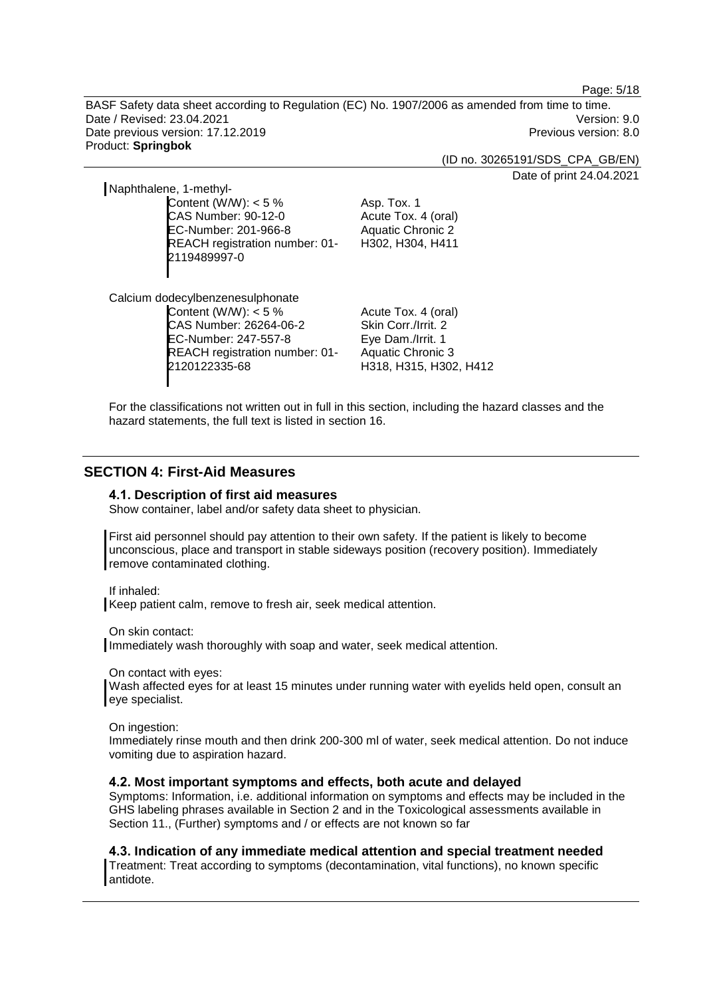Page: 5/18

BASF Safety data sheet according to Regulation (EC) No. 1907/2006 as amended from time to time. Date / Revised: 23.04.2021 Version: 9.0 Date previous version: 17.12.2019 **Previous version: 8.0** Previous version: 8.0 Product: **Springbok**

(ID no. 30265191/SDS\_CPA\_GB/EN)

Date of print 24.04.2021

Naphthalene, 1-methyl-Content (W/W):  $< 5 \%$ CAS Number: 90-12-0

EC-Number: 201-966-8 REACH registration number: 01- 2119489997-0

Asp. Tox. 1 Acute Tox. 4 (oral) Aquatic Chronic 2 H302, H304, H411

Calcium dodecylbenzenesulphonate Content (W/W):  $< 5\%$ CAS Number: 26264-06-2 EC-Number: 247-557-8 REACH registration number: 01- 2120122335-68

Acute Tox. 4 (oral) Skin Corr./Irrit. 2 Eye Dam./Irrit. 1 Aquatic Chronic 3 H318, H315, H302, H412

For the classifications not written out in full in this section, including the hazard classes and the hazard statements, the full text is listed in section 16.

# **SECTION 4: First-Aid Measures**

#### **4.1. Description of first aid measures**

Show container, label and/or safety data sheet to physician.

First aid personnel should pay attention to their own safety. If the patient is likely to become unconscious, place and transport in stable sideways position (recovery position). Immediately remove contaminated clothing.

If inhaled:

Keep patient calm, remove to fresh air, seek medical attention.

On skin contact:

Immediately wash thoroughly with soap and water, seek medical attention.

On contact with eyes:

Wash affected eyes for at least 15 minutes under running water with eyelids held open, consult an eye specialist.

On ingestion:

Immediately rinse mouth and then drink 200-300 ml of water, seek medical attention. Do not induce vomiting due to aspiration hazard.

#### **4.2. Most important symptoms and effects, both acute and delayed**

Symptoms: Information, i.e. additional information on symptoms and effects may be included in the GHS labeling phrases available in Section 2 and in the Toxicological assessments available in Section 11., (Further) symptoms and / or effects are not known so far

**4.3. Indication of any immediate medical attention and special treatment needed**

Treatment: Treat according to symptoms (decontamination, vital functions), no known specific antidote.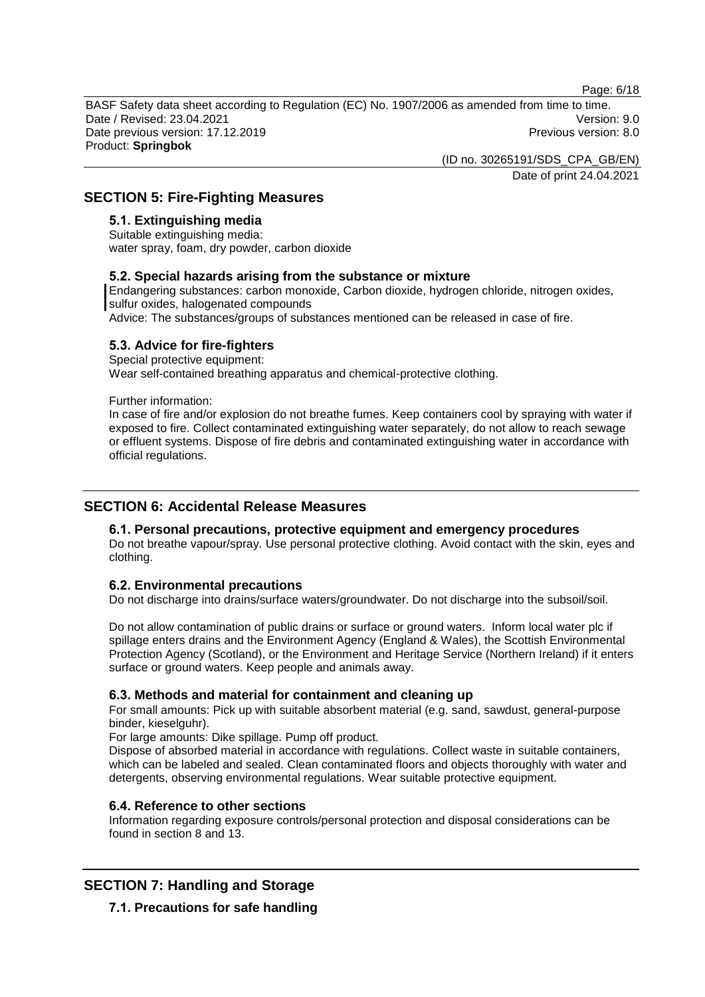Page: 6/18

BASF Safety data sheet according to Regulation (EC) No. 1907/2006 as amended from time to time. Date / Revised: 23.04.2021 Version: 9.0 Date previous version: 17.12.2019 **Previous version: 8.0** Previous version: 8.0 Product: **Springbok**

(ID no. 30265191/SDS\_CPA\_GB/EN)

Date of print 24.04.2021

# **SECTION 5: Fire-Fighting Measures**

### **5.1. Extinguishing media**

Suitable extinguishing media: water spray, foam, dry powder, carbon dioxide

### **5.2. Special hazards arising from the substance or mixture**

Endangering substances: carbon monoxide, Carbon dioxide, hydrogen chloride, nitrogen oxides, sulfur oxides, halogenated compounds

Advice: The substances/groups of substances mentioned can be released in case of fire.

### **5.3. Advice for fire-fighters**

Special protective equipment: Wear self-contained breathing apparatus and chemical-protective clothing.

Further information:

In case of fire and/or explosion do not breathe fumes. Keep containers cool by spraying with water if exposed to fire. Collect contaminated extinguishing water separately, do not allow to reach sewage or effluent systems. Dispose of fire debris and contaminated extinguishing water in accordance with official regulations.

# **SECTION 6: Accidental Release Measures**

### **6.1. Personal precautions, protective equipment and emergency procedures**

Do not breathe vapour/spray. Use personal protective clothing. Avoid contact with the skin, eyes and clothing.

### **6.2. Environmental precautions**

Do not discharge into drains/surface waters/groundwater. Do not discharge into the subsoil/soil.

Do not allow contamination of public drains or surface or ground waters. Inform local water plc if spillage enters drains and the Environment Agency (England & Wales), the Scottish Environmental Protection Agency (Scotland), or the Environment and Heritage Service (Northern Ireland) if it enters surface or ground waters. Keep people and animals away.

### **6.3. Methods and material for containment and cleaning up**

For small amounts: Pick up with suitable absorbent material (e.g. sand, sawdust, general-purpose binder, kieselguhr).

For large amounts: Dike spillage. Pump off product.

Dispose of absorbed material in accordance with regulations. Collect waste in suitable containers, which can be labeled and sealed. Clean contaminated floors and objects thoroughly with water and detergents, observing environmental regulations. Wear suitable protective equipment.

# **6.4. Reference to other sections**

Information regarding exposure controls/personal protection and disposal considerations can be found in section 8 and 13.

# **SECTION 7: Handling and Storage**

**7.1. Precautions for safe handling**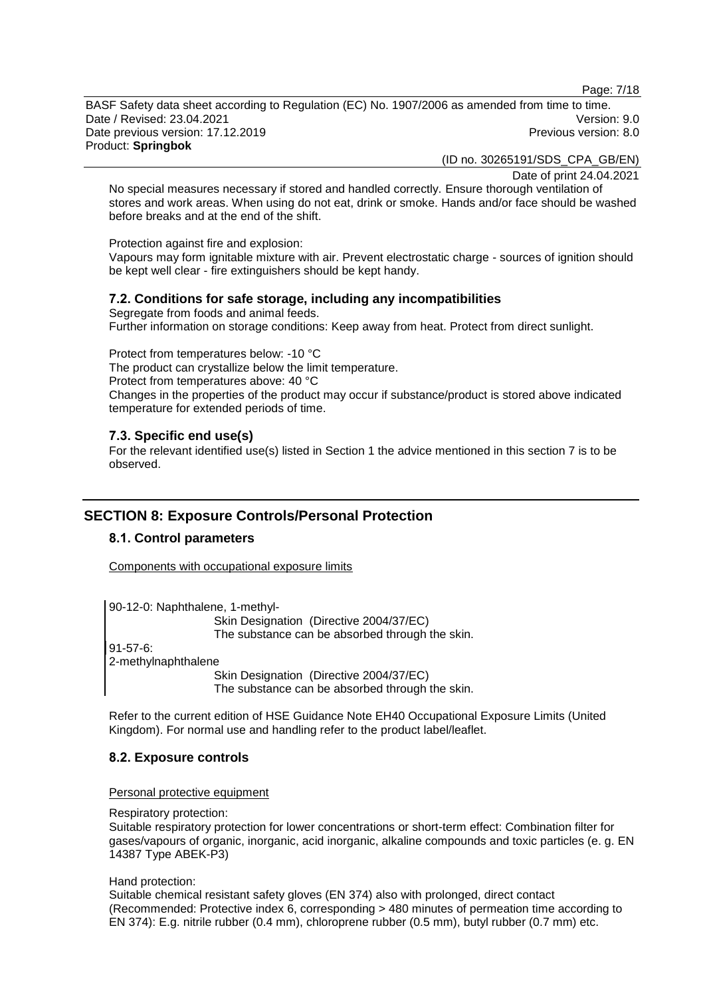Page: 7/18

BASF Safety data sheet according to Regulation (EC) No. 1907/2006 as amended from time to time. Date / Revised: 23.04.2021 Version: 9.0 Date previous version: 17.12.2019 **Previous version: 8.0** Previous version: 8.0 Product: **Springbok**

(ID no. 30265191/SDS\_CPA\_GB/EN)

Date of print 24.04.2021

No special measures necessary if stored and handled correctly. Ensure thorough ventilation of stores and work areas. When using do not eat, drink or smoke. Hands and/or face should be washed before breaks and at the end of the shift.

Protection against fire and explosion:

Vapours may form ignitable mixture with air. Prevent electrostatic charge - sources of ignition should be kept well clear - fire extinguishers should be kept handy.

### **7.2. Conditions for safe storage, including any incompatibilities**

Segregate from foods and animal feeds. Further information on storage conditions: Keep away from heat. Protect from direct sunlight.

Protect from temperatures below: -10 °C The product can crystallize below the limit temperature. Protect from temperatures above: 40 °C Changes in the properties of the product may occur if substance/product is stored above indicated temperature for extended periods of time.

### **7.3. Specific end use(s)**

For the relevant identified use(s) listed in Section 1 the advice mentioned in this section 7 is to be observed.

# **SECTION 8: Exposure Controls/Personal Protection**

### **8.1. Control parameters**

Components with occupational exposure limits

90-12-0: Naphthalene, 1-methyl-Skin Designation (Directive 2004/37/EC) The substance can be absorbed through the skin. 91-57-6: 2-methylnaphthalene Skin Designation (Directive 2004/37/EC) The substance can be absorbed through the skin.

Refer to the current edition of HSE Guidance Note EH40 Occupational Exposure Limits (United Kingdom). For normal use and handling refer to the product label/leaflet.

### **8.2. Exposure controls**

Personal protective equipment

Respiratory protection:

Suitable respiratory protection for lower concentrations or short-term effect: Combination filter for gases/vapours of organic, inorganic, acid inorganic, alkaline compounds and toxic particles (e. g. EN 14387 Type ABEK-P3)

Hand protection:

Suitable chemical resistant safety gloves (EN 374) also with prolonged, direct contact (Recommended: Protective index 6, corresponding > 480 minutes of permeation time according to EN 374): E.g. nitrile rubber (0.4 mm), chloroprene rubber (0.5 mm), butyl rubber (0.7 mm) etc.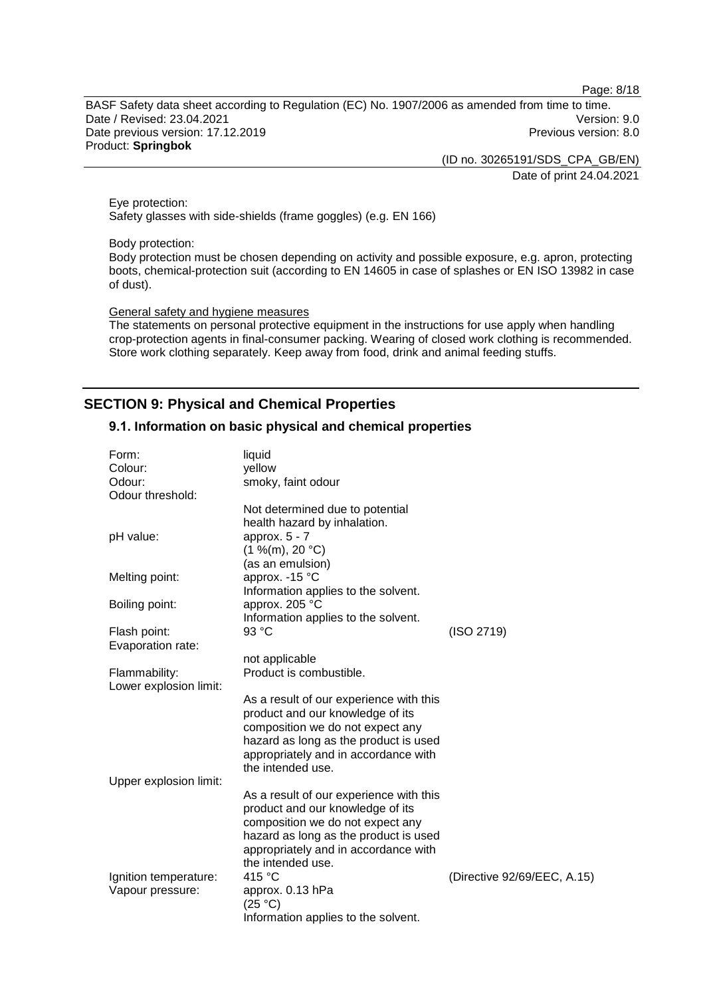Page: 8/18

BASF Safety data sheet according to Regulation (EC) No. 1907/2006 as amended from time to time. Date / Revised: 23.04.2021 Version: 9.0 Date previous version: 17.12.2019 **Previous version: 8.0** Previous version: 8.0 Product: **Springbok**

> (ID no. 30265191/SDS\_CPA\_GB/EN) Date of print 24.04.2021

Eye protection: Safety glasses with side-shields (frame goggles) (e.g. EN 166)

Body protection:

Body protection must be chosen depending on activity and possible exposure, e.g. apron, protecting boots, chemical-protection suit (according to EN 14605 in case of splashes or EN ISO 13982 in case of dust).

General safety and hygiene measures

The statements on personal protective equipment in the instructions for use apply when handling crop-protection agents in final-consumer packing. Wearing of closed work clothing is recommended. Store work clothing separately. Keep away from food, drink and animal feeding stuffs.

# **SECTION 9: Physical and Chemical Properties**

#### **9.1. Information on basic physical and chemical properties**

| Form:                  | liquid                                  |                             |
|------------------------|-----------------------------------------|-----------------------------|
| Colour:                | yellow                                  |                             |
| Odour:                 | smoky, faint odour                      |                             |
| Odour threshold:       |                                         |                             |
|                        | Not determined due to potential         |                             |
|                        | health hazard by inhalation.            |                             |
| pH value:              | approx. $5 - 7$                         |                             |
|                        | (1 %(m), 20 °C)                         |                             |
|                        | (as an emulsion)                        |                             |
| Melting point:         | approx. -15 °C                          |                             |
|                        | Information applies to the solvent.     |                             |
| Boiling point:         | approx. 205 °C                          |                             |
|                        | Information applies to the solvent.     |                             |
| Flash point:           | 93 °C                                   | (ISO 2719)                  |
| Evaporation rate:      |                                         |                             |
|                        | not applicable                          |                             |
| Flammability:          | Product is combustible.                 |                             |
| Lower explosion limit: |                                         |                             |
|                        | As a result of our experience with this |                             |
|                        | product and our knowledge of its        |                             |
|                        | composition we do not expect any        |                             |
|                        | hazard as long as the product is used   |                             |
|                        | appropriately and in accordance with    |                             |
|                        | the intended use.                       |                             |
| Upper explosion limit: |                                         |                             |
|                        | As a result of our experience with this |                             |
|                        | product and our knowledge of its        |                             |
|                        | composition we do not expect any        |                             |
|                        | hazard as long as the product is used   |                             |
|                        | appropriately and in accordance with    |                             |
|                        | the intended use.                       |                             |
| Ignition temperature:  | 415 °C                                  | (Directive 92/69/EEC, A.15) |
| Vapour pressure:       | approx. 0.13 hPa                        |                             |
|                        | (25 °C)                                 |                             |
|                        | Information applies to the solvent.     |                             |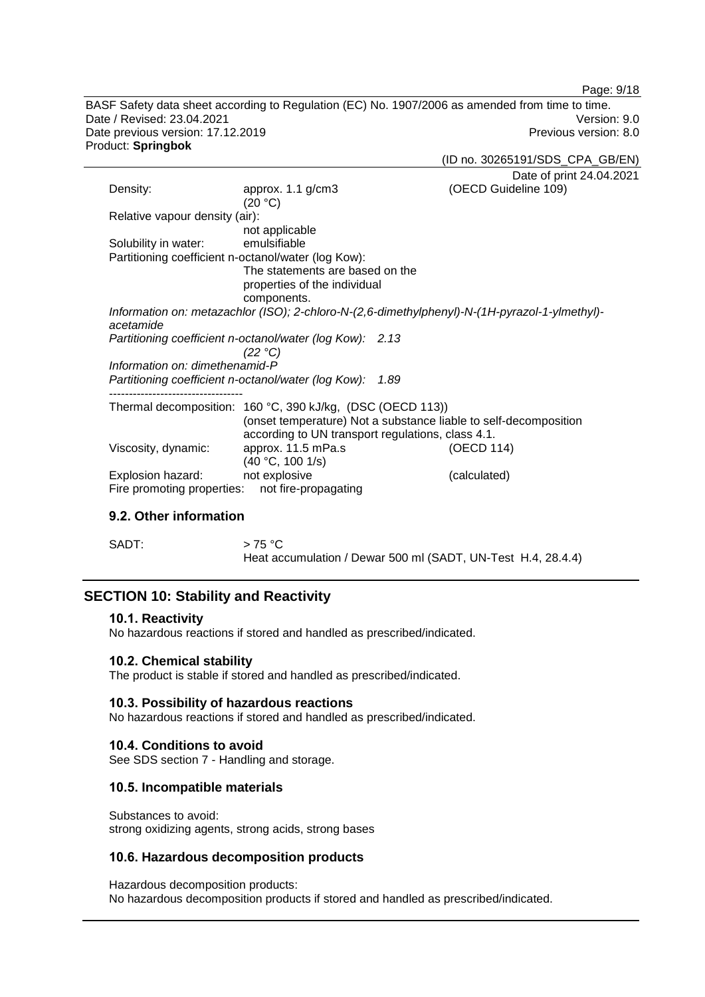Page: 9/18

BASF Safety data sheet according to Regulation (EC) No. 1907/2006 as amended from time to time. Date / Revised: 23.04.2021 Version: 9.0<br>Date previous version: 17.12.2019 Version: 9.0 Date previous version: 17.12.2019 Product: **Springbok**

(ID no. 30265191/SDS\_CPA\_GB/EN)

|                                |                                                            | Date of print 24.04.2021                                                                      |
|--------------------------------|------------------------------------------------------------|-----------------------------------------------------------------------------------------------|
| Density:                       | approx. $1.1$ g/cm $3$                                     | (OECD Guideline 109)                                                                          |
|                                | (20 °C)                                                    |                                                                                               |
| Relative vapour density (air): |                                                            |                                                                                               |
|                                | not applicable                                             |                                                                                               |
| Solubility in water:           | emulsifiable                                               |                                                                                               |
|                                | Partitioning coefficient n-octanol/water (log Kow):        |                                                                                               |
|                                | The statements are based on the                            |                                                                                               |
|                                | properties of the individual                               |                                                                                               |
|                                | components.                                                |                                                                                               |
|                                |                                                            | Information on: metazachlor (ISO); 2-chloro-N-(2,6-dimethylphenyl)-N-(1H-pyrazol-1-ylmethyl)- |
| acetamide                      |                                                            |                                                                                               |
|                                | Partitioning coefficient n-octanol/water (log Kow): 2.13   |                                                                                               |
|                                | (22 °C)                                                    |                                                                                               |
| Information on: dimethenamid-P |                                                            |                                                                                               |
|                                | Partitioning coefficient n-octanol/water (log Kow):        | 1.89                                                                                          |
|                                |                                                            |                                                                                               |
|                                | Thermal decomposition: 160 °C, 390 kJ/kg, (DSC (OECD 113)) |                                                                                               |
|                                |                                                            | (onset temperature) Not a substance liable to self-decomposition                              |
|                                | according to UN transport regulations, class 4.1.          |                                                                                               |
| Viscosity, dynamic:            | approx. 11.5 mPa.s                                         | (OECD 114)                                                                                    |
|                                | (40 °C, 100 1/s)                                           |                                                                                               |
| Explosion hazard:              | not explosive                                              | (calculated)                                                                                  |
| Fire promoting properties:     | not fire-propagating                                       |                                                                                               |
|                                |                                                            |                                                                                               |

# **9.2. Other information**

 $SADT:$   $> 75 °C$ Heat accumulation / Dewar 500 ml (SADT, UN-Test H.4, 28.4.4)

# **SECTION 10: Stability and Reactivity**

#### **10.1. Reactivity**

No hazardous reactions if stored and handled as prescribed/indicated.

### **10.2. Chemical stability**

The product is stable if stored and handled as prescribed/indicated.

#### **10.3. Possibility of hazardous reactions**

No hazardous reactions if stored and handled as prescribed/indicated.

### **10.4. Conditions to avoid**

See SDS section 7 - Handling and storage.

### **10.5. Incompatible materials**

Substances to avoid: strong oxidizing agents, strong acids, strong bases

### **10.6. Hazardous decomposition products**

Hazardous decomposition products: No hazardous decomposition products if stored and handled as prescribed/indicated.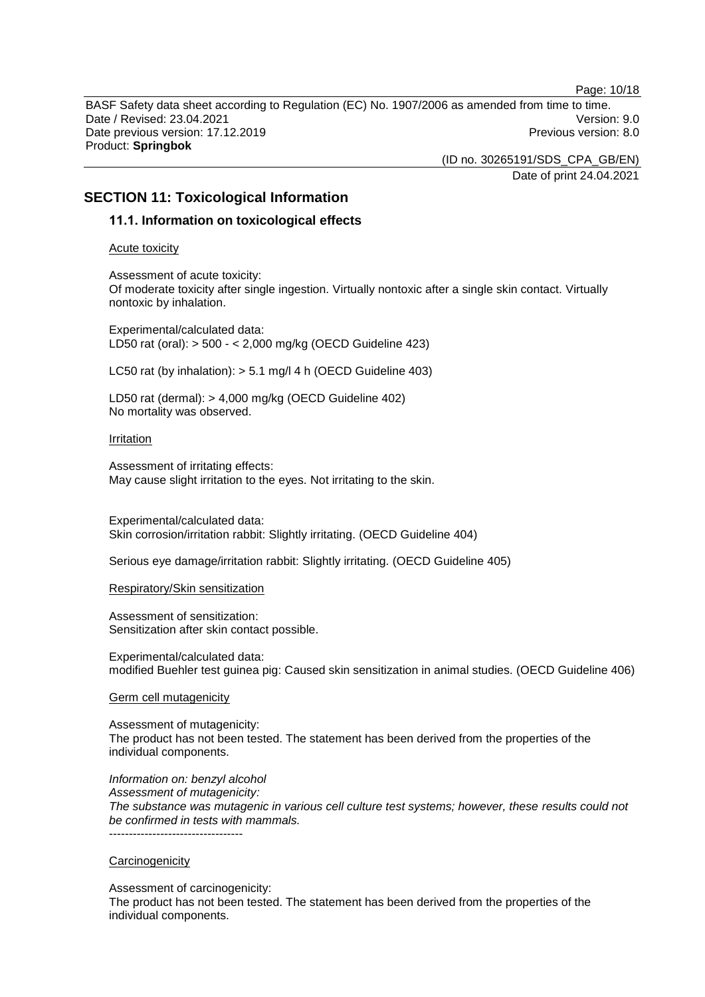Page: 10/18 BASF Safety data sheet according to Regulation (EC) No. 1907/2006 as amended from time to time. Date / Revised: 23.04.2021 Version: 9.0 Date previous version: 17.12.2019 **Previous version: 8.0** Previous version: 8.0 Product: **Springbok**

(ID no. 30265191/SDS\_CPA\_GB/EN)

Date of print 24.04.2021

# **SECTION 11: Toxicological Information**

### **11.1. Information on toxicological effects**

Acute toxicity

Assessment of acute toxicity: Of moderate toxicity after single ingestion. Virtually nontoxic after a single skin contact. Virtually nontoxic by inhalation.

Experimental/calculated data: LD50 rat (oral): > 500 - < 2,000 mg/kg (OECD Guideline 423)

LC50 rat (by inhalation): > 5.1 mg/l 4 h (OECD Guideline 403)

LD50 rat (dermal): > 4,000 mg/kg (OECD Guideline 402) No mortality was observed.

#### Irritation

Assessment of irritating effects: May cause slight irritation to the eyes. Not irritating to the skin.

Experimental/calculated data: Skin corrosion/irritation rabbit: Slightly irritating. (OECD Guideline 404)

Serious eye damage/irritation rabbit: Slightly irritating. (OECD Guideline 405)

Respiratory/Skin sensitization

Assessment of sensitization: Sensitization after skin contact possible.

Experimental/calculated data: modified Buehler test guinea pig: Caused skin sensitization in animal studies. (OECD Guideline 406)

Germ cell mutagenicity

Assessment of mutagenicity: The product has not been tested. The statement has been derived from the properties of the individual components.

*Information on: benzyl alcohol Assessment of mutagenicity: The substance was mutagenic in various cell culture test systems; however, these results could not be confirmed in tests with mammals.* ----------------------------------

### **Carcinogenicity**

Assessment of carcinogenicity:

The product has not been tested. The statement has been derived from the properties of the individual components.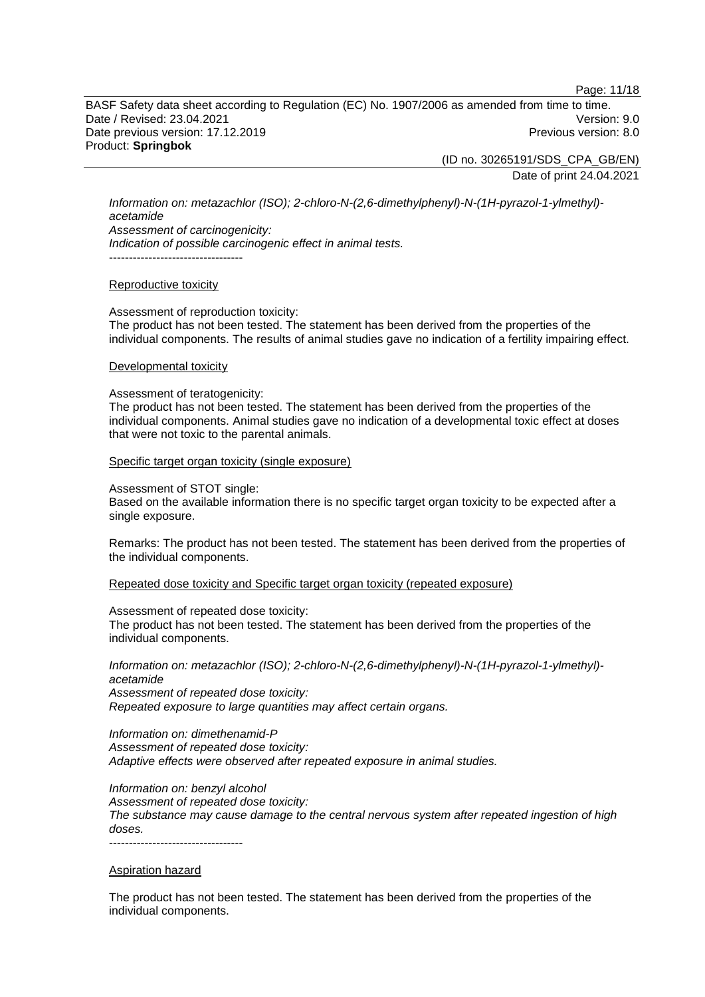Page: 11/18

BASF Safety data sheet according to Regulation (EC) No. 1907/2006 as amended from time to time. Date / Revised: 23.04.2021 Version: 9.0 Date previous version: 17.12.2019 **Previous version: 8.0** Previous version: 8.0 Product: **Springbok**

(ID no. 30265191/SDS\_CPA\_GB/EN)

Date of print 24.04.2021

*Information on: metazachlor (ISO); 2-chloro-N-(2,6-dimethylphenyl)-N-(1H-pyrazol-1-ylmethyl) acetamide Assessment of carcinogenicity: Indication of possible carcinogenic effect in animal tests.* ----------------------------------

#### Reproductive toxicity

Assessment of reproduction toxicity: The product has not been tested. The statement has been derived from the properties of the individual components. The results of animal studies gave no indication of a fertility impairing effect.

#### Developmental toxicity

Assessment of teratogenicity:

The product has not been tested. The statement has been derived from the properties of the individual components. Animal studies gave no indication of a developmental toxic effect at doses that were not toxic to the parental animals.

#### Specific target organ toxicity (single exposure)

Assessment of STOT single:

Based on the available information there is no specific target organ toxicity to be expected after a single exposure.

Remarks: The product has not been tested. The statement has been derived from the properties of the individual components.

Repeated dose toxicity and Specific target organ toxicity (repeated exposure)

Assessment of repeated dose toxicity:

The product has not been tested. The statement has been derived from the properties of the individual components.

*Information on: metazachlor (ISO); 2-chloro-N-(2,6-dimethylphenyl)-N-(1H-pyrazol-1-ylmethyl) acetamide Assessment of repeated dose toxicity:*

*Repeated exposure to large quantities may affect certain organs.*

*Information on: dimethenamid-P Assessment of repeated dose toxicity: Adaptive effects were observed after repeated exposure in animal studies.*

*Information on: benzyl alcohol Assessment of repeated dose toxicity: The substance may cause damage to the central nervous system after repeated ingestion of high doses.* ----------------------------------

#### Aspiration hazard

The product has not been tested. The statement has been derived from the properties of the individual components.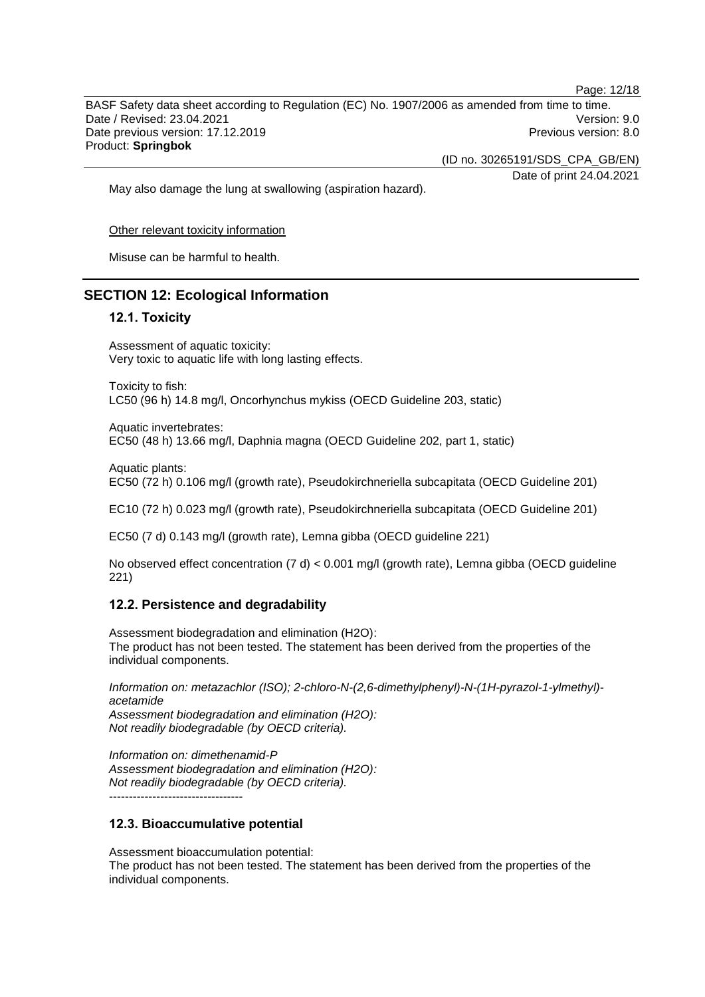Page: 12/18 BASF Safety data sheet according to Regulation (EC) No. 1907/2006 as amended from time to time. Date / Revised: 23.04.2021 Version: 9.0 Date previous version: 17.12.2019 **Previous version: 8.0** Previous version: 8.0 Product: **Springbok**

(ID no. 30265191/SDS\_CPA\_GB/EN)

Date of print 24.04.2021

May also damage the lung at swallowing (aspiration hazard).

Other relevant toxicity information

Misuse can be harmful to health.

### **SECTION 12: Ecological Information**

#### **12.1. Toxicity**

Assessment of aquatic toxicity: Very toxic to aquatic life with long lasting effects.

Toxicity to fish: LC50 (96 h) 14.8 mg/l, Oncorhynchus mykiss (OECD Guideline 203, static)

Aquatic invertebrates: EC50 (48 h) 13.66 mg/l, Daphnia magna (OECD Guideline 202, part 1, static)

Aquatic plants: EC50 (72 h) 0.106 mg/l (growth rate), Pseudokirchneriella subcapitata (OECD Guideline 201)

EC10 (72 h) 0.023 mg/l (growth rate), Pseudokirchneriella subcapitata (OECD Guideline 201)

EC50 (7 d) 0.143 mg/l (growth rate), Lemna gibba (OECD guideline 221)

No observed effect concentration (7 d) < 0.001 mg/l (growth rate), Lemna gibba (OECD guideline 221)

#### **12.2. Persistence and degradability**

Assessment biodegradation and elimination (H2O): The product has not been tested. The statement has been derived from the properties of the individual components.

*Information on: metazachlor (ISO); 2-chloro-N-(2,6-dimethylphenyl)-N-(1H-pyrazol-1-ylmethyl) acetamide*

*Assessment biodegradation and elimination (H2O): Not readily biodegradable (by OECD criteria).*

*Information on: dimethenamid-P Assessment biodegradation and elimination (H2O): Not readily biodegradable (by OECD criteria).* ----------------------------------

#### **12.3. Bioaccumulative potential**

Assessment bioaccumulation potential:

The product has not been tested. The statement has been derived from the properties of the individual components.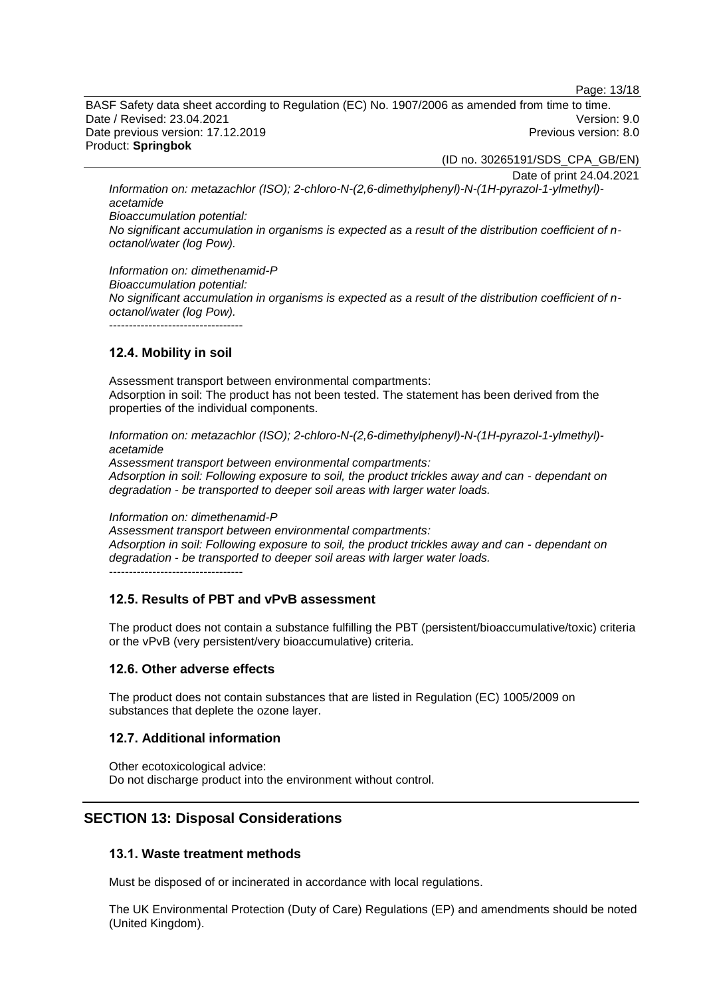Page: 13/18

BASF Safety data sheet according to Regulation (EC) No. 1907/2006 as amended from time to time. Date / Revised: 23.04.2021 Version: 9.0 Date previous version: 17.12.2019 **Previous version: 8.0** Previous version: 8.0 Product: **Springbok**

(ID no. 30265191/SDS\_CPA\_GB/EN)

Date of print 24.04.2021

*Information on: metazachlor (ISO); 2-chloro-N-(2,6-dimethylphenyl)-N-(1H-pyrazol-1-ylmethyl) acetamide*

*Bioaccumulation potential:*

*No significant accumulation in organisms is expected as a result of the distribution coefficient of noctanol/water (log Pow).*

*Information on: dimethenamid-P Bioaccumulation potential: No significant accumulation in organisms is expected as a result of the distribution coefficient of noctanol/water (log Pow).* ----------------------------------

### **12.4. Mobility in soil**

Assessment transport between environmental compartments: Adsorption in soil: The product has not been tested. The statement has been derived from the properties of the individual components.

*Information on: metazachlor (ISO); 2-chloro-N-(2,6-dimethylphenyl)-N-(1H-pyrazol-1-ylmethyl) acetamide*

*Assessment transport between environmental compartments: Adsorption in soil: Following exposure to soil, the product trickles away and can - dependant on degradation - be transported to deeper soil areas with larger water loads.*

*Information on: dimethenamid-P*

*Assessment transport between environmental compartments: Adsorption in soil: Following exposure to soil, the product trickles away and can - dependant on degradation - be transported to deeper soil areas with larger water loads.* ----------------------------------

### **12.5. Results of PBT and vPvB assessment**

The product does not contain a substance fulfilling the PBT (persistent/bioaccumulative/toxic) criteria or the vPvB (very persistent/very bioaccumulative) criteria.

#### **12.6. Other adverse effects**

The product does not contain substances that are listed in Regulation (EC) 1005/2009 on substances that deplete the ozone layer.

### **12.7. Additional information**

Other ecotoxicological advice: Do not discharge product into the environment without control.

# **SECTION 13: Disposal Considerations**

### **13.1. Waste treatment methods**

Must be disposed of or incinerated in accordance with local regulations.

The UK Environmental Protection (Duty of Care) Regulations (EP) and amendments should be noted (United Kingdom).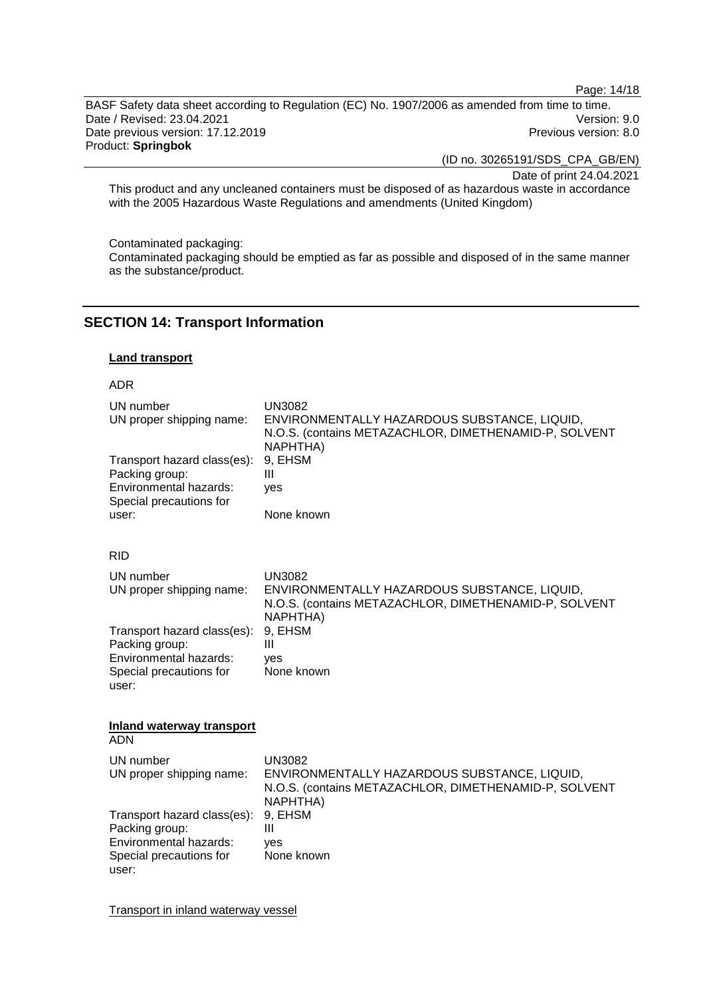Page: 14/18

BASF Safety data sheet according to Regulation (EC) No. 1907/2006 as amended from time to time. Date / Revised: 23.04.2021 Version: 9.0<br>Date previous version: 17.12.2019 Version: 9.0 Date previous version: 17.12.2019 Product: **Springbok**

(ID no. 30265191/SDS\_CPA\_GB/EN)

Date of print 24.04.2021

This product and any uncleaned containers must be disposed of as hazardous waste in accordance with the 2005 Hazardous Waste Regulations and amendments (United Kingdom)

Contaminated packaging:

Contaminated packaging should be emptied as far as possible and disposed of in the same manner as the substance/product.

### **SECTION 14: Transport Information**

#### **Land transport**

#### ADR

| UN number<br>UN proper shipping name:<br>Transport hazard class(es):<br>Packing group:<br>Environmental hazards:<br>Special precautions for<br>user: | <b>UN3082</b><br>ENVIRONMENTALLY HAZARDOUS SUBSTANCE, LIQUID,<br>N.O.S. (contains METAZACHLOR, DIMETHENAMID-P, SOLVENT<br>NAPHTHA)<br>9, EHSM<br>Ш<br>yes<br>None known |
|------------------------------------------------------------------------------------------------------------------------------------------------------|-------------------------------------------------------------------------------------------------------------------------------------------------------------------------|
| <b>RID</b>                                                                                                                                           |                                                                                                                                                                         |
| UN number<br>UN proper shipping name:                                                                                                                | <b>UN3082</b><br>ENVIRONMENTALLY HAZARDOUS SUBSTANCE, LIQUID,<br>N.O.S. (contains METAZACHLOR, DIMETHENAMID-P, SOLVENT<br>NAPHTHA)                                      |
| Transport hazard class(es):<br>Packing group:<br>Environmental hazards:<br>Special precautions for<br>user:                                          | 9, EHSM<br>Ш<br>ves<br>None known                                                                                                                                       |
| <b>Inland waterway transport</b><br><b>ADN</b>                                                                                                       |                                                                                                                                                                         |
| UN number<br>UN proper shipping name:                                                                                                                | <b>UN3082</b><br>ENVIRONMENTALLY HAZARDOUS SUBSTANCE, LIQUID,<br>N.O.S. (contains METAZACHLOR, DIMETHENAMID-P, SOLVENT<br>NAPHTHA)                                      |
| Transport hazard class(es):<br>Packing group:<br>Environmental hazards:<br>Special precautions for<br>user:                                          | 9, EHSM<br>$\mathbf{III}$<br>ves<br>None known                                                                                                                          |

Transport in inland waterway vessel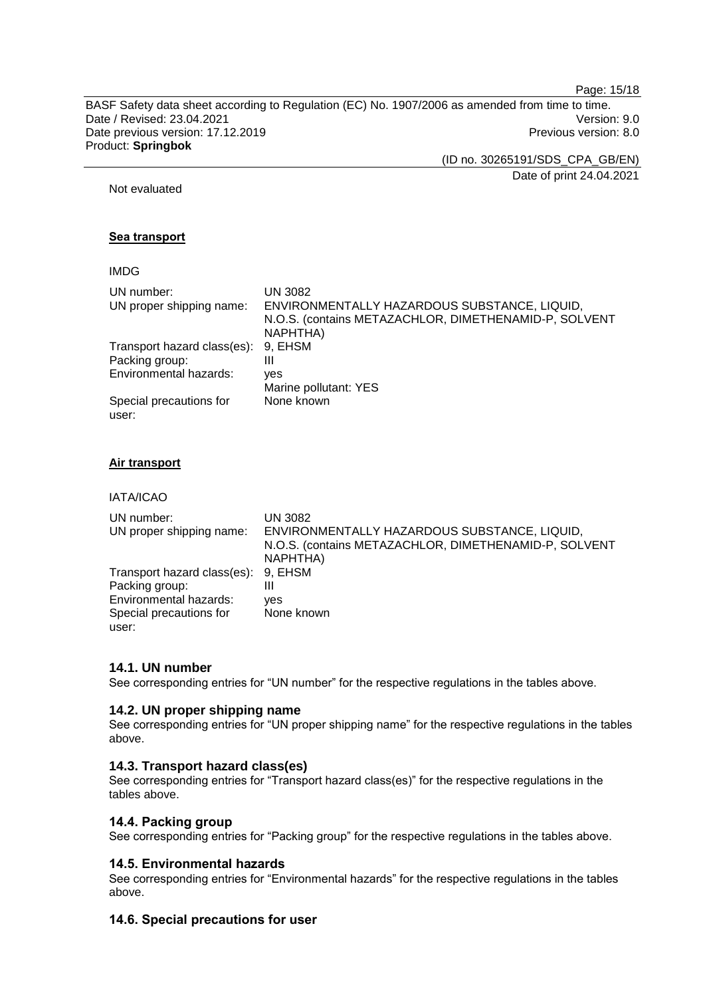Page: 15/18

BASF Safety data sheet according to Regulation (EC) No. 1907/2006 as amended from time to time. Date / Revised: 23.04.2021 Version: 9.0<br>Date previous version: 17.12.2019 Version: 9.0 Date previous version: 17.12.2019 Product: **Springbok**

(ID no. 30265191/SDS\_CPA\_GB/EN)

Date of print 24.04.2021

Not evaluated

### **Sea transport**

### IMDG

| UN number:                       | UN 3082                                                                                                           |
|----------------------------------|-------------------------------------------------------------------------------------------------------------------|
| UN proper shipping name:         | ENVIRONMENTALLY HAZARDOUS SUBSTANCE, LIQUID,<br>N.O.S. (contains METAZACHLOR, DIMETHENAMID-P, SOLVENT<br>NAPHTHA) |
| Transport hazard class(es):      | 9, EHSM                                                                                                           |
| Packing group:                   | Ш                                                                                                                 |
| Environmental hazards:           | ves                                                                                                               |
|                                  | Marine pollutant: YES                                                                                             |
| Special precautions for<br>user: | None known                                                                                                        |

### **Air transport**

#### IATA/ICAO

| UN number:<br>UN proper shipping name: | UN 3082<br>ENVIRONMENTALLY HAZARDOUS SUBSTANCE, LIQUID,<br>N.O.S. (contains METAZACHLOR, DIMETHENAMID-P, SOLVENT<br>NAPHTHA) |
|----------------------------------------|------------------------------------------------------------------------------------------------------------------------------|
| Transport hazard class(es):            | 9. EHSM                                                                                                                      |
| Packing group:                         | Ш                                                                                                                            |
| Environmental hazards:                 | ves                                                                                                                          |
| Special precautions for                | None known                                                                                                                   |
| user:                                  |                                                                                                                              |

# **14.1. UN number**

See corresponding entries for "UN number" for the respective regulations in the tables above.

### **14.2. UN proper shipping name**

See corresponding entries for "UN proper shipping name" for the respective regulations in the tables above.

# **14.3. Transport hazard class(es)**

See corresponding entries for "Transport hazard class(es)" for the respective regulations in the tables above.

### **14.4. Packing group**

See corresponding entries for "Packing group" for the respective regulations in the tables above.

# **14.5. Environmental hazards**

See corresponding entries for "Environmental hazards" for the respective regulations in the tables above.

# **14.6. Special precautions for user**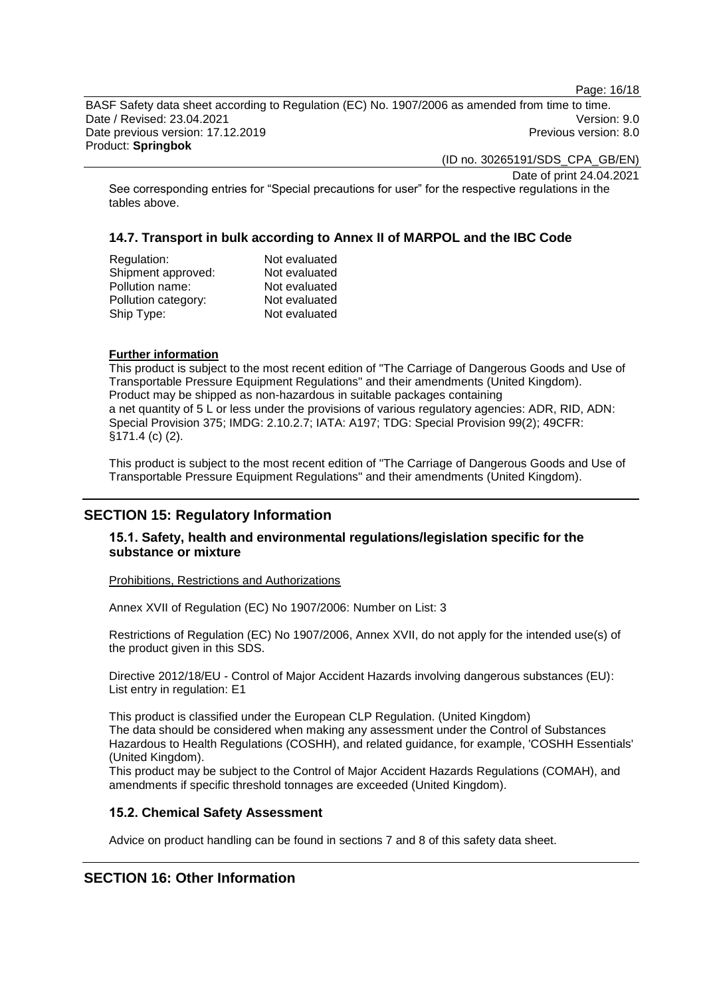Page: 16/18

BASF Safety data sheet according to Regulation (EC) No. 1907/2006 as amended from time to time. Date / Revised: 23.04.2021 Version: 9.0 Date previous version: 17.12.2019 Previous version: 8.0 Product: **Springbok**

(ID no. 30265191/SDS\_CPA\_GB/EN)

Date of print 24.04.2021

See corresponding entries for "Special precautions for user" for the respective regulations in the tables above.

# **14.7. Transport in bulk according to Annex II of MARPOL and the IBC Code**

| Regulation:         | Not evaluated |
|---------------------|---------------|
| Shipment approved:  | Not evaluated |
| Pollution name:     | Not evaluated |
| Pollution category: | Not evaluated |
| Ship Type:          | Not evaluated |
|                     |               |

#### **Further information**

This product is subject to the most recent edition of "The Carriage of Dangerous Goods and Use of Transportable Pressure Equipment Regulations" and their amendments (United Kingdom). Product may be shipped as non-hazardous in suitable packages containing a net quantity of 5 L or less under the provisions of various regulatory agencies: ADR, RID, ADN: Special Provision 375; IMDG: 2.10.2.7; IATA: A197; TDG: Special Provision 99(2); 49CFR: §171.4 (c) (2).

This product is subject to the most recent edition of "The Carriage of Dangerous Goods and Use of Transportable Pressure Equipment Regulations" and their amendments (United Kingdom).

# **SECTION 15: Regulatory Information**

### **15.1. Safety, health and environmental regulations/legislation specific for the substance or mixture**

Prohibitions, Restrictions and Authorizations

Annex XVII of Regulation (EC) No 1907/2006: Number on List: 3

Restrictions of Regulation (EC) No 1907/2006, Annex XVII, do not apply for the intended use(s) of the product given in this SDS.

Directive 2012/18/EU - Control of Major Accident Hazards involving dangerous substances (EU): List entry in regulation: E1

This product is classified under the European CLP Regulation. (United Kingdom) The data should be considered when making any assessment under the Control of Substances Hazardous to Health Regulations (COSHH), and related guidance, for example, 'COSHH Essentials' (United Kingdom).

This product may be subject to the Control of Major Accident Hazards Regulations (COMAH), and amendments if specific threshold tonnages are exceeded (United Kingdom).

### **15.2. Chemical Safety Assessment**

Advice on product handling can be found in sections 7 and 8 of this safety data sheet.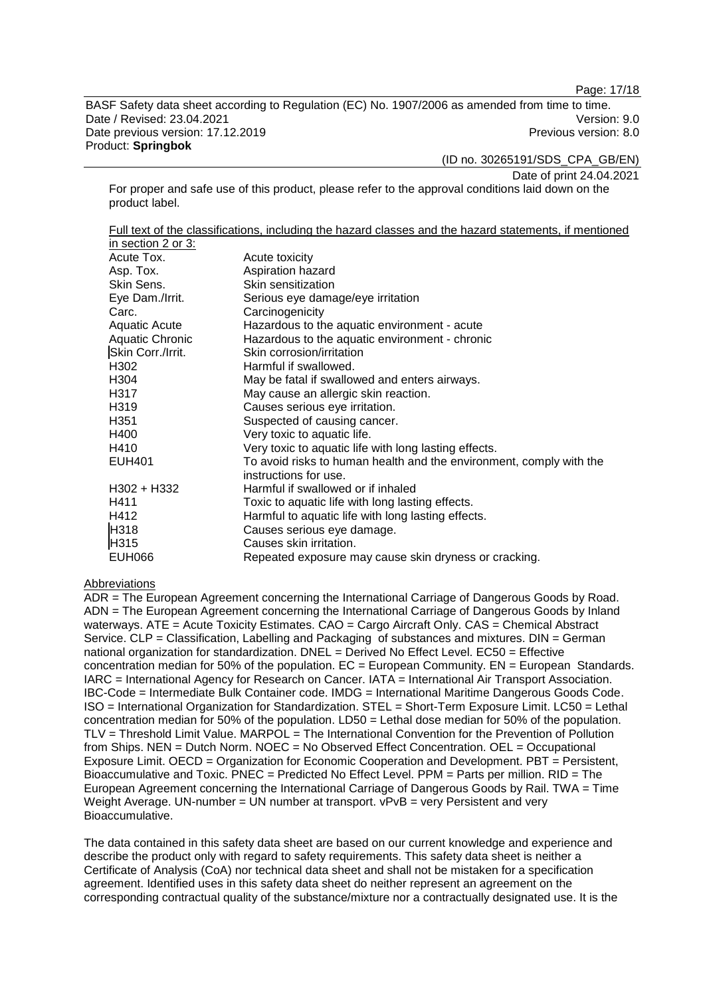Page: 17/18

BASF Safety data sheet according to Regulation (EC) No. 1907/2006 as amended from time to time. Date / Revised: 23.04.2021 Version: 9.0 Date previous version: 17.12.2019 **Previous version: 8.0** Previous version: 8.0 Product: **Springbok**

(ID no. 30265191/SDS\_CPA\_GB/EN)

Date of print 24.04.2021

For proper and safe use of this product, please refer to the approval conditions laid down on the product label.

Full text of the classifications, including the hazard classes and the hazard statements, if mentioned in section 2 or 3:

| III SCUIUII 4 UI J.    |                                                                                              |
|------------------------|----------------------------------------------------------------------------------------------|
| Acute Tox.             | Acute toxicity                                                                               |
| Asp. Tox.              | Aspiration hazard                                                                            |
| Skin Sens.             | Skin sensitization                                                                           |
| Eye Dam./Irrit.        | Serious eye damage/eye irritation                                                            |
| Carc.                  | Carcinogenicity                                                                              |
| <b>Aquatic Acute</b>   | Hazardous to the aquatic environment - acute                                                 |
| <b>Aquatic Chronic</b> | Hazardous to the aquatic environment - chronic                                               |
| Skin Corr./Irrit.      | Skin corrosion/irritation                                                                    |
| H302                   | Harmful if swallowed.                                                                        |
| H304                   | May be fatal if swallowed and enters airways.                                                |
| H317                   | May cause an allergic skin reaction.                                                         |
| H319                   | Causes serious eye irritation.                                                               |
| H351                   | Suspected of causing cancer.                                                                 |
| H400                   | Very toxic to aquatic life.                                                                  |
| H410                   | Very toxic to aquatic life with long lasting effects.                                        |
| <b>EUH401</b>          | To avoid risks to human health and the environment, comply with the<br>instructions for use. |
| H302 + H332            | Harmful if swallowed or if inhaled                                                           |
| H411                   | Toxic to aquatic life with long lasting effects.                                             |
| H412                   | Harmful to aquatic life with long lasting effects.                                           |
| H318                   | Causes serious eye damage.                                                                   |
| H315                   | Causes skin irritation.                                                                      |
| <b>EUH066</b>          | Repeated exposure may cause skin dryness or cracking.                                        |

#### Abbreviations

ADR = The European Agreement concerning the International Carriage of Dangerous Goods by Road. ADN = The European Agreement concerning the International Carriage of Dangerous Goods by Inland waterways. ATE = Acute Toxicity Estimates. CAO = Cargo Aircraft Only. CAS = Chemical Abstract Service. CLP = Classification, Labelling and Packaging of substances and mixtures. DIN = German national organization for standardization. DNEL = Derived No Effect Level. EC50 = Effective concentration median for 50% of the population.  $EC = European$  Community.  $EN = European$  Standards. IARC = International Agency for Research on Cancer. IATA = International Air Transport Association. IBC-Code = Intermediate Bulk Container code. IMDG = International Maritime Dangerous Goods Code. ISO = International Organization for Standardization. STEL = Short-Term Exposure Limit. LC50 = Lethal concentration median for 50% of the population. LD50 = Lethal dose median for 50% of the population. TLV = Threshold Limit Value. MARPOL = The International Convention for the Prevention of Pollution from Ships. NEN = Dutch Norm. NOEC = No Observed Effect Concentration. OEL = Occupational Exposure Limit. OECD = Organization for Economic Cooperation and Development. PBT = Persistent, Bioaccumulative and Toxic. PNEC = Predicted No Effect Level. PPM = Parts per million. RID = The European Agreement concerning the International Carriage of Dangerous Goods by Rail. TWA = Time Weight Average. UN-number = UN number at transport.  $vPvB = very$  Persistent and very Bioaccumulative.

The data contained in this safety data sheet are based on our current knowledge and experience and describe the product only with regard to safety requirements. This safety data sheet is neither a Certificate of Analysis (CoA) nor technical data sheet and shall not be mistaken for a specification agreement. Identified uses in this safety data sheet do neither represent an agreement on the corresponding contractual quality of the substance/mixture nor a contractually designated use. It is the